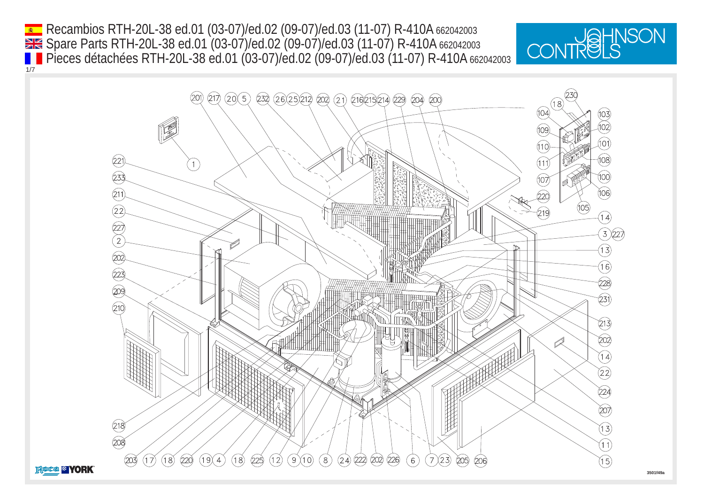Recambios RTH-20L-38 ed.01 (03-07)/ed.02 (09-07)/ed.03 (11-07) R-410A 662042003 1/7 Spare Parts RTH-20L-38 ed.01 (03-07)/ed.02 (09-07)/ed.03 (11-07) R-410A 662042003 **Pieces détachées RTH-20L-38 ed.01 (03-07)/ed.02 (09-07)/ed.03 (11-07) R-410A 662042003** 



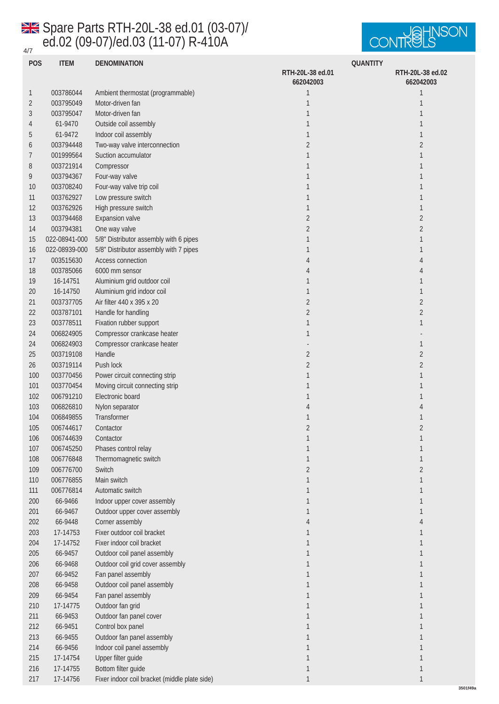## 4/7 Spare Parts RTH-20L-38 ed.01 (03-07)/ ed.02 (09-07)/ed.03 (11-07) R-410A



**3501f49a**

|        | <b>POS</b><br><b>ITEM</b> | <b>DENOMINATION</b>                           | <b>QUANTITY</b>               |                               |
|--------|---------------------------|-----------------------------------------------|-------------------------------|-------------------------------|
|        |                           |                                               | RTH-20L-38 ed.01<br>662042003 | RTH-20L-38 ed.02<br>662042003 |
| 1      | 003786044                 | Ambient thermostat (programmable)             | 1                             | 1                             |
| 2      | 003795049                 | Motor-driven fan                              | 1                             | 1                             |
| 3      | 003795047                 | Motor-driven fan                              | $\mathbf{1}$                  | 1                             |
| 4      | 61-9470                   | Outside coil assembly                         | $\mathbf{1}$                  | 1                             |
| 5      | 61-9472                   | Indoor coil assembly                          | $\mathbf{1}$                  | 1                             |
| 6      | 003794448                 | Two-way valve interconnection                 | $\boldsymbol{2}$              | $\boldsymbol{2}$              |
| 7      | 001999564                 | Suction accumulator                           | 1                             | 1                             |
| 8      | 003721914                 | Compressor                                    | 1                             | 1                             |
| 9      | 003794367                 | Four-way valve                                | $\mathbf{1}$                  | 1                             |
| 10     | 003708240                 | Four-way valve trip coil                      | $\mathbf{1}$                  | 1                             |
| 11     | 003762927                 | Low pressure switch                           | 1                             | 1                             |
| 12     | 003762926                 | High pressure switch                          | 1                             | 1                             |
| 13     | 003794468                 | <b>Expansion</b> valve                        | $\overline{c}$                | $\boldsymbol{2}$              |
| 14     | 003794381                 | One way valve                                 | $\overline{c}$                | $\boldsymbol{2}$              |
| 15     | 022-08941-000             | 5/8" Distributor assembly with 6 pipes        | 1                             | 1                             |
| 16     | 022-08939-000             | 5/8" Distributor assembly with 7 pipes        | 1                             | 1                             |
| 17     | 003515630                 | <b>Access connection</b>                      | 4                             | 4                             |
| 18     | 003785066                 | 6000 mm sensor                                | 4                             | 4                             |
| 19     | 16-14751                  | Aluminium grid outdoor coil                   | 1                             | 1                             |
| $20\,$ | 16-14750                  | Aluminium grid indoor coil                    | $\mathbf{1}$                  | 1                             |
| 21     | 003737705                 | Air filter 440 x 395 x 20                     | $\boldsymbol{2}$              | $\boldsymbol{2}$              |
| 22     | 003787101                 | Handle for handling                           | $\overline{c}$                | $\sqrt{2}$                    |
| 23     | 003778511                 | Fixation rubber support                       | 1                             | 1                             |
| 24     | 006824905                 | Compressor crankcase heater                   | 1                             |                               |
| 24     | 006824903                 | Compressor crankcase heater                   |                               | 1                             |
| $25\,$ | 003719108                 | Handle                                        | $\boldsymbol{2}$              | $\boldsymbol{2}$              |
| 26     | 003719114                 | Push lock                                     | $\boldsymbol{2}$              | $\boldsymbol{2}$              |
| 100    | 003770456                 | Power circuit connecting strip                | 1                             | 1                             |
| 101    | 003770454                 | Moving circuit connecting strip               | 1                             | 1                             |
| 102    | 006791210                 | Electronic board                              | 1                             | 1                             |
| 103    | 006826810                 | Nylon separator                               | 4                             | 4                             |
| 104    | 006849855                 | Transformer                                   | 1                             | 1                             |
| 105    | 006744617                 | Contactor                                     | $\overline{c}$                | $\overline{2}$                |
| 106    | 006744639                 | Contactor                                     | $\mathbf{I}$                  | 1                             |
| 107    | 006745250                 | Phases control relay                          | 1                             | 1                             |
| 108    | 006776848                 | Thermomagnetic switch                         | 1                             | 1                             |
| 109    | 006776700                 | Switch                                        | $\boldsymbol{2}$              | $\boldsymbol{2}$              |
| 110    | 006776855                 | Main switch                                   | 1                             | $\mathbf{1}$                  |
| 111    | 006776814                 | Automatic switch                              | 1                             | 1                             |
| 200    | 66-9466                   | Indoor upper cover assembly                   | $\mathbf{1}$                  | $\mathbf{1}$                  |
| 201    | 66-9467                   | Outdoor upper cover assembly                  | $\mathbf{1}$                  | 1                             |
| 202    | 66-9448                   | Corner assembly                               | 4                             | 4                             |
| 203    | 17-14753                  | Fixer outdoor coil bracket                    | 1                             | 1                             |
| 204    | 17-14752                  | Fixer indoor coil bracket                     | $\mathbf{1}$                  | 1                             |
| 205    | 66-9457                   | Outdoor coil panel assembly                   | $\mathbf{1}$                  | $\mathbf{1}$                  |
| 206    | 66-9468                   | Outdoor coil grid cover assembly              | 1                             | 1                             |
| 207    | 66-9452                   | Fan panel assembly                            | 1                             | $\mathbf{1}$                  |
| 208    | 66-9458                   | Outdoor coil panel assembly                   | 1                             | 1                             |
| 209    | 66-9454                   | Fan panel assembly                            | 1                             | $\mathbf{1}$                  |
| 210    | 17-14775                  | Outdoor fan grid                              | $\mathbf{1}$                  | 1                             |
| 211    | 66-9453                   | Outdoor fan panel cover                       | $\mathbf{1}$                  | 1                             |
| 212    | 66-9451                   | Control box panel                             | $\mathbf{1}$                  | $\mathbf{1}$                  |
| 213    | 66-9455                   | Outdoor fan panel assembly                    | $\mathbf{1}$                  | 1                             |
| 214    | 66-9456                   | Indoor coil panel assembly                    | $\mathbf{1}$                  | 1                             |
| 215    | 17-14754                  | Upper filter guide                            | $\mathbf{1}$                  | 1                             |
| 216    | 17-14755                  | Bottom filter guide                           | $\mathbf{1}$                  | 1                             |
| 217    | 17-14756                  | Fixer indoor coil bracket (middle plate side) | 1                             |                               |
|        |                           |                                               |                               |                               |